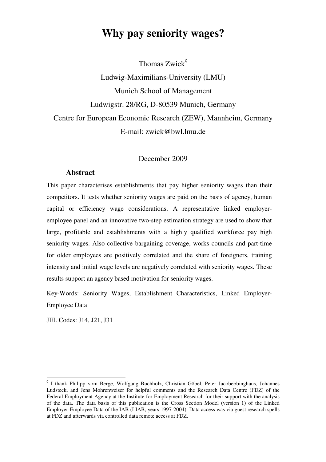# **Why pay seniority wages?**

Thomas Zwick<sup>§</sup>

Ludwig-Maximilians-University (LMU) Munich School of Management Ludwigstr. 28/RG, D-80539 Munich, Germany Centre for European Economic Research (ZEW), Mannheim, Germany E-mail: zwick@bwl.lmu.de

#### December 2009

#### **Abstract**

This paper characterises establishments that pay higher seniority wages than their competitors. It tests whether seniority wages are paid on the basis of agency, human capital or efficiency wage considerations. A representative linked employeremployee panel and an innovative two-step estimation strategy are used to show that large, profitable and establishments with a highly qualified workforce pay high seniority wages. Also collective bargaining coverage, works councils and part-time for older employees are positively correlated and the share of foreigners, training intensity and initial wage levels are negatively correlated with seniority wages. These results support an agency based motivation for seniority wages.

Key-Words: Seniority Wages, Establishment Characteristics, Linked Employer-Employee Data

JEL Codes: J14, J21, J31

-

<sup>◊</sup> I thank Philipp vom Berge, Wolfgang Buchholz, Christian Göbel, Peter Jacobebbinghaus, Johannes Ludsteck, and Jens Mohrenweiser for helpful comments and the Research Data Centre (FDZ) of the Federal Employment Agency at the Institute for Employment Research for their support with the analysis of the data. The data basis of this publication is the Cross Section Model (version 1) of the Linked Employer-Employee Data of the IAB (LIAB, years 1997-2004). Data access was via guest research spells at FDZ and afterwards via controlled data remote access at FDZ.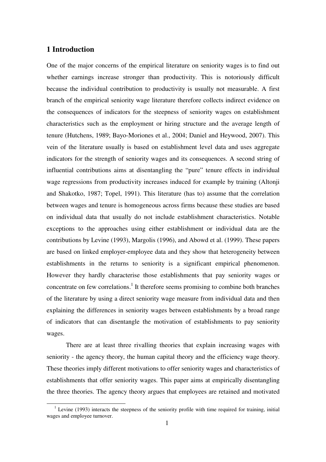#### **1 Introduction**

l

One of the major concerns of the empirical literature on seniority wages is to find out whether earnings increase stronger than productivity. This is notoriously difficult because the individual contribution to productivity is usually not measurable. A first branch of the empirical seniority wage literature therefore collects indirect evidence on the consequences of indicators for the steepness of seniority wages on establishment characteristics such as the employment or hiring structure and the average length of tenure (Hutchens, 1989; Bayo-Moriones et al., 2004; Daniel and Heywood, 2007). This vein of the literature usually is based on establishment level data and uses aggregate indicators for the strength of seniority wages and its consequences. A second string of influential contributions aims at disentangling the "pure" tenure effects in individual wage regressions from productivity increases induced for example by training (Altonji and Shakotko, 1987; Topel, 1991). This literature (has to) assume that the correlation between wages and tenure is homogeneous across firms because these studies are based on individual data that usually do not include establishment characteristics. Notable exceptions to the approaches using either establishment or individual data are the contributions by Levine (1993), Margolis (1996), and Abowd et al. (1999). These papers are based on linked employer-employee data and they show that heterogeneity between establishments in the returns to seniority is a significant empirical phenomenon. However they hardly characterise those establishments that pay seniority wages or concentrate on few correlations.<sup>1</sup> It therefore seems promising to combine both branches of the literature by using a direct seniority wage measure from individual data and then explaining the differences in seniority wages between establishments by a broad range of indicators that can disentangle the motivation of establishments to pay seniority wages.

There are at least three rivalling theories that explain increasing wages with seniority - the agency theory, the human capital theory and the efficiency wage theory. These theories imply different motivations to offer seniority wages and characteristics of establishments that offer seniority wages. This paper aims at empirically disentangling the three theories. The agency theory argues that employees are retained and motivated

 $1$  Levine (1993) interacts the steepness of the seniority profile with time required for training, initial wages and employee turnover.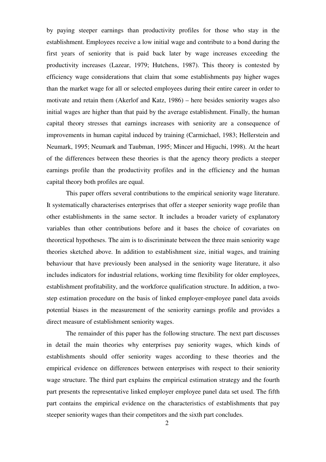by paying steeper earnings than productivity profiles for those who stay in the establishment. Employees receive a low initial wage and contribute to a bond during the first years of seniority that is paid back later by wage increases exceeding the productivity increases (Lazear, 1979; Hutchens, 1987). This theory is contested by efficiency wage considerations that claim that some establishments pay higher wages than the market wage for all or selected employees during their entire career in order to motivate and retain them (Akerlof and Katz, 1986) – here besides seniority wages also initial wages are higher than that paid by the average establishment. Finally, the human capital theory stresses that earnings increases with seniority are a consequence of improvements in human capital induced by training (Carmichael, 1983; Hellerstein and Neumark, 1995; Neumark and Taubman, 1995; Mincer and Higuchi, 1998). At the heart of the differences between these theories is that the agency theory predicts a steeper earnings profile than the productivity profiles and in the efficiency and the human capital theory both profiles are equal.

This paper offers several contributions to the empirical seniority wage literature. It systematically characterises enterprises that offer a steeper seniority wage profile than other establishments in the same sector. It includes a broader variety of explanatory variables than other contributions before and it bases the choice of covariates on theoretical hypotheses. The aim is to discriminate between the three main seniority wage theories sketched above. In addition to establishment size, initial wages, and training behaviour that have previously been analysed in the seniority wage literature, it also includes indicators for industrial relations, working time flexibility for older employees, establishment profitability, and the workforce qualification structure. In addition, a twostep estimation procedure on the basis of linked employer-employee panel data avoids potential biases in the measurement of the seniority earnings profile and provides a direct measure of establishment seniority wages.

The remainder of this paper has the following structure. The next part discusses in detail the main theories why enterprises pay seniority wages, which kinds of establishments should offer seniority wages according to these theories and the empirical evidence on differences between enterprises with respect to their seniority wage structure. The third part explains the empirical estimation strategy and the fourth part presents the representative linked employer employee panel data set used. The fifth part contains the empirical evidence on the characteristics of establishments that pay steeper seniority wages than their competitors and the sixth part concludes.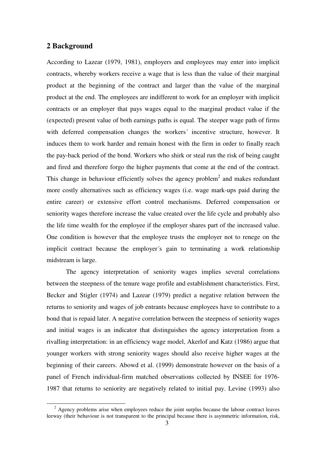#### **2 Background**

l

According to Lazear (1979, 1981), employers and employees may enter into implicit contracts, whereby workers receive a wage that is less than the value of their marginal product at the beginning of the contract and larger than the value of the marginal product at the end. The employees are indifferent to work for an employer with implicit contracts or an employer that pays wages equal to the marginal product value if the (expected) present value of both earnings paths is equal. The steeper wage path of firms with deferred compensation changes the workers' incentive structure, however. It induces them to work harder and remain honest with the firm in order to finally reach the pay-back period of the bond. Workers who shirk or steal run the risk of being caught and fired and therefore forgo the higher payments that come at the end of the contract. This change in behaviour efficiently solves the agency problem<sup>2</sup> and makes redundant more costly alternatives such as efficiency wages (i.e. wage mark-ups paid during the entire career) or extensive effort control mechanisms. Deferred compensation or seniority wages therefore increase the value created over the life cycle and probably also the life time wealth for the employee if the employer shares part of the increased value. One condition is however that the employee trusts the employer not to renege on the implicit contract because the employer´s gain to terminating a work relationship midstream is large.

The agency interpretation of seniority wages implies several correlations between the steepness of the tenure wage profile and establishment characteristics. First, Becker and Stigler (1974) and Lazear (1979) predict a negative relation between the returns to seniority and wages of job entrants because employees have to contribute to a bond that is repaid later. A negative correlation between the steepness of seniority wages and initial wages is an indicator that distinguishes the agency interpretation from a rivalling interpretation: in an efficiency wage model, Akerlof and Katz (1986) argue that younger workers with strong seniority wages should also receive higher wages at the beginning of their careers. Abowd et al. (1999) demonstrate however on the basis of a panel of French individual-firm matched observations collected by INSEE for 1976- 1987 that returns to seniority are negatively related to initial pay. Levine (1993) also

 $2$  Agency problems arise when employees reduce the joint surplus because the labour contract leaves leeway (their behaviour is not transparent to the principal because there is asymmetric information, risk,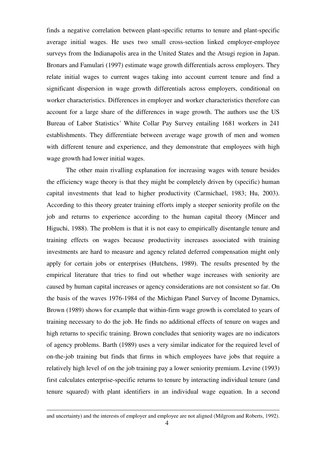finds a negative correlation between plant-specific returns to tenure and plant-specific average initial wages. He uses two small cross-section linked employer-employee surveys from the Indianapolis area in the United States and the Atsugi region in Japan. Bronars and Famulari (1997) estimate wage growth differentials across employers. They relate initial wages to current wages taking into account current tenure and find a significant dispersion in wage growth differentials across employers, conditional on worker characteristics. Differences in employer and worker characteristics therefore can account for a large share of the differences in wage growth. The authors use the US Bureau of Labor Statistics´ White Collar Pay Survey entailing 1681 workers in 241 establishments. They differentiate between average wage growth of men and women with different tenure and experience, and they demonstrate that employees with high wage growth had lower initial wages.

The other main rivalling explanation for increasing wages with tenure besides the efficiency wage theory is that they might be completely driven by (specific) human capital investments that lead to higher productivity (Carmichael, 1983; Hu, 2003). According to this theory greater training efforts imply a steeper seniority profile on the job and returns to experience according to the human capital theory (Mincer and Higuchi, 1988). The problem is that it is not easy to empirically disentangle tenure and training effects on wages because productivity increases associated with training investments are hard to measure and agency related deferred compensation might only apply for certain jobs or enterprises (Hutchens, 1989). The results presented by the empirical literature that tries to find out whether wage increases with seniority are caused by human capital increases or agency considerations are not consistent so far. On the basis of the waves 1976-1984 of the Michigan Panel Survey of Income Dynamics, Brown (1989) shows for example that within-firm wage growth is correlated to years of training necessary to do the job. He finds no additional effects of tenure on wages and high returns to specific training. Brown concludes that seniority wages are no indicators of agency problems. Barth (1989) uses a very similar indicator for the required level of on-the-job training but finds that firms in which employees have jobs that require a relatively high level of on the job training pay a lower seniority premium. Levine (1993) first calculates enterprise-specific returns to tenure by interacting individual tenure (and tenure squared) with plant identifiers in an individual wage equation. In a second

-

and uncertainty) and the interests of employer and employee are not aligned (Milgrom and Roberts, 1992).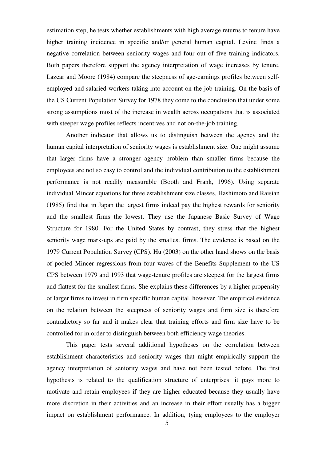estimation step, he tests whether establishments with high average returns to tenure have higher training incidence in specific and/or general human capital. Levine finds a negative correlation between seniority wages and four out of five training indicators. Both papers therefore support the agency interpretation of wage increases by tenure. Lazear and Moore (1984) compare the steepness of age-earnings profiles between selfemployed and salaried workers taking into account on-the-job training. On the basis of the US Current Population Survey for 1978 they come to the conclusion that under some strong assumptions most of the increase in wealth across occupations that is associated with steeper wage profiles reflects incentives and not on-the-job training.

Another indicator that allows us to distinguish between the agency and the human capital interpretation of seniority wages is establishment size. One might assume that larger firms have a stronger agency problem than smaller firms because the employees are not so easy to control and the individual contribution to the establishment performance is not readily measurable (Booth and Frank, 1996). Using separate individual Mincer equations for three establishment size classes, Hashimoto and Raisian (1985) find that in Japan the largest firms indeed pay the highest rewards for seniority and the smallest firms the lowest. They use the Japanese Basic Survey of Wage Structure for 1980. For the United States by contrast, they stress that the highest seniority wage mark-ups are paid by the smallest firms. The evidence is based on the 1979 Current Population Survey (CPS). Hu (2003) on the other hand shows on the basis of pooled Mincer regressions from four waves of the Benefits Supplement to the US CPS between 1979 and 1993 that wage-tenure profiles are steepest for the largest firms and flattest for the smallest firms. She explains these differences by a higher propensity of larger firms to invest in firm specific human capital, however. The empirical evidence on the relation between the steepness of seniority wages and firm size is therefore contradictory so far and it makes clear that training efforts and firm size have to be controlled for in order to distinguish between both efficiency wage theories.

This paper tests several additional hypotheses on the correlation between establishment characteristics and seniority wages that might empirically support the agency interpretation of seniority wages and have not been tested before. The first hypothesis is related to the qualification structure of enterprises: it pays more to motivate and retain employees if they are higher educated because they usually have more discretion in their activities and an increase in their effort usually has a bigger impact on establishment performance. In addition, tying employees to the employer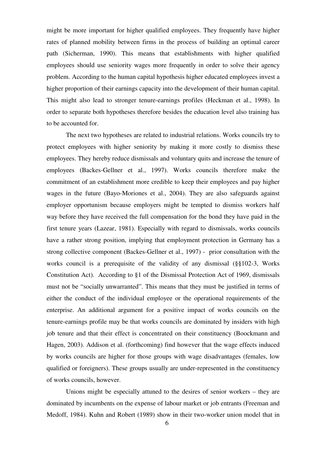might be more important for higher qualified employees. They frequently have higher rates of planned mobility between firms in the process of building an optimal career path (Sicherman, 1990). This means that establishments with higher qualified employees should use seniority wages more frequently in order to solve their agency problem. According to the human capital hypothesis higher educated employees invest a higher proportion of their earnings capacity into the development of their human capital. This might also lead to stronger tenure-earnings profiles (Heckman et al., 1998). In order to separate both hypotheses therefore besides the education level also training has to be accounted for.

The next two hypotheses are related to industrial relations. Works councils try to protect employees with higher seniority by making it more costly to dismiss these employees. They hereby reduce dismissals and voluntary quits and increase the tenure of employees (Backes-Gellner et al., 1997). Works councils therefore make the commitment of an establishment more credible to keep their employees and pay higher wages in the future (Bayo-Moriones et al., 2004). They are also safeguards against employer opportunism because employers might be tempted to dismiss workers half way before they have received the full compensation for the bond they have paid in the first tenure years (Lazear, 1981). Especially with regard to dismissals, works councils have a rather strong position, implying that employment protection in Germany has a strong collective component (Backes-Gellner et al., 1997) - prior consultation with the works council is a prerequisite of the validity of any dismissal (§§102-3, Works Constitution Act). According to §1 of the Dismissal Protection Act of 1969, dismissals must not be "socially unwarranted". This means that they must be justified in terms of either the conduct of the individual employee or the operational requirements of the enterprise. An additional argument for a positive impact of works councils on the tenure-earnings profile may be that works councils are dominated by insiders with high job tenure and that their effect is concentrated on their constituency (Boockmann and Hagen, 2003). Addison et al. (forthcoming) find however that the wage effects induced by works councils are higher for those groups with wage disadvantages (females, low qualified or foreigners). These groups usually are under-represented in the constituency of works councils, however.

Unions might be especially attuned to the desires of senior workers – they are dominated by incumbents on the expense of labour market or job entrants (Freeman and Medoff, 1984). Kuhn and Robert (1989) show in their two-worker union model that in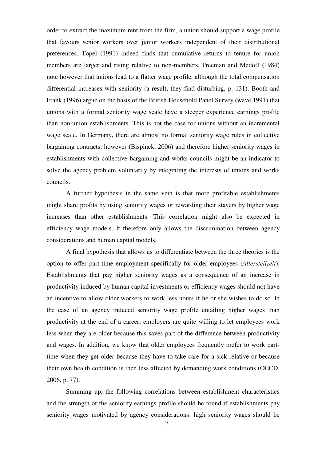order to extract the maximum rent from the firm, a union should support a wage profile that favours senior workers over junior workers independent of their distributional preferences. Topel (1991) indeed finds that cumulative returns to tenure for union members are larger and rising relative to non-members. Freeman and Medoff (1984) note however that unions lead to a flatter wage profile, although the total compensation differential increases with seniority (a result, they find disturbing, p. 131). Booth and Frank (1996) argue on the basis of the British Household Panel Survey (wave 1991) that unions with a formal seniority wage scale have a steeper experience earnings profile than non-union establishments. This is not the case for unions without an incremental wage scale. In Germany, there are almost no formal seniority wage rules in collective bargaining contracts, however (Bispinck, 2006) and therefore higher seniority wages in establishments with collective bargaining and works councils might be an indicator to solve the agency problem voluntarily by integrating the interests of unions and works councils.

A further hypothesis in the same vein is that more profitable establishments might share profits by using seniority wages or rewarding their stayers by higher wage increases than other establishments. This correlation might also be expected in efficiency wage models. It therefore only allows the discrimination between agency considerations and human capital models.

A final hypothesis that allows us to differentiate between the three theories is the option to offer part-time employment specifically for older employees (*Altersteilzeit*). Establishments that pay higher seniority wages as a consequence of an increase in productivity induced by human capital investments or efficiency wages should not have an incentive to allow older workers to work less hours if he or she wishes to do so. In the case of an agency induced seniority wage profile entailing higher wages than productivity at the end of a career, employers are quite willing to let employees work less when they are older because this saves part of the difference between productivity and wages. In addition, we know that older employees frequently prefer to work parttime when they get older because they have to take care for a sick relative or because their own health condition is then less affected by demanding work conditions (OECD, 2006, p. 77).

Summing up, the following correlations between establishment characteristics and the strength of the seniority earnings profile should be found if establishments pay seniority wages motivated by agency considerations: high seniority wages should be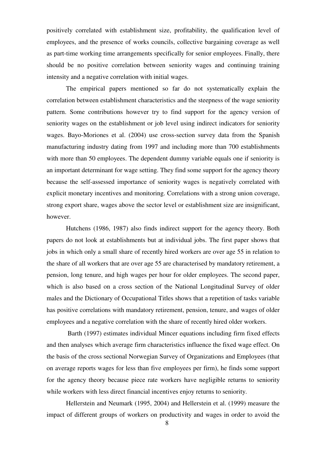positively correlated with establishment size, profitability, the qualification level of employees, and the presence of works councils, collective bargaining coverage as well as part-time working time arrangements specifically for senior employees. Finally, there should be no positive correlation between seniority wages and continuing training intensity and a negative correlation with initial wages.

The empirical papers mentioned so far do not systematically explain the correlation between establishment characteristics and the steepness of the wage seniority pattern. Some contributions however try to find support for the agency version of seniority wages on the establishment or job level using indirect indicators for seniority wages. Bayo-Moriones et al. (2004) use cross-section survey data from the Spanish manufacturing industry dating from 1997 and including more than 700 establishments with more than 50 employees. The dependent dummy variable equals one if seniority is an important determinant for wage setting. They find some support for the agency theory because the self-assessed importance of seniority wages is negatively correlated with explicit monetary incentives and monitoring. Correlations with a strong union coverage, strong export share, wages above the sector level or establishment size are insignificant, however.

Hutchens (1986, 1987) also finds indirect support for the agency theory. Both papers do not look at establishments but at individual jobs. The first paper shows that jobs in which only a small share of recently hired workers are over age 55 in relation to the share of all workers that are over age 55 are characterised by mandatory retirement, a pension, long tenure, and high wages per hour for older employees. The second paper, which is also based on a cross section of the National Longitudinal Survey of older males and the Dictionary of Occupational Titles shows that a repetition of tasks variable has positive correlations with mandatory retirement, pension, tenure, and wages of older employees and a negative correlation with the share of recently hired older workers.

 Barth (1997) estimates individual Mincer equations including firm fixed effects and then analyses which average firm characteristics influence the fixed wage effect. On the basis of the cross sectional Norwegian Survey of Organizations and Employees (that on average reports wages for less than five employees per firm), he finds some support for the agency theory because piece rate workers have negligible returns to seniority while workers with less direct financial incentives enjoy returns to seniority.

Hellerstein and Neumark (1995, 2004) and Hellerstein et al. (1999) measure the impact of different groups of workers on productivity and wages in order to avoid the

8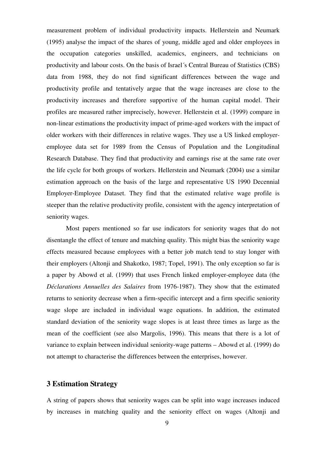measurement problem of individual productivity impacts. Hellerstein and Neumark (1995) analyse the impact of the shares of young, middle aged and older employees in the occupation categories unskilled, academics, engineers, and technicians on productivity and labour costs. On the basis of Israel´s Central Bureau of Statistics (CBS) data from 1988, they do not find significant differences between the wage and productivity profile and tentatively argue that the wage increases are close to the productivity increases and therefore supportive of the human capital model. Their profiles are measured rather imprecisely, however. Hellerstein et al. (1999) compare in non-linear estimations the productivity impact of prime-aged workers with the impact of older workers with their differences in relative wages. They use a US linked employeremployee data set for 1989 from the Census of Population and the Longitudinal Research Database. They find that productivity and earnings rise at the same rate over the life cycle for both groups of workers. Hellerstein and Neumark (2004) use a similar estimation approach on the basis of the large and representative US 1990 Decennial Employer-Employee Dataset. They find that the estimated relative wage profile is steeper than the relative productivity profile, consistent with the agency interpretation of seniority wages.

Most papers mentioned so far use indicators for seniority wages that do not disentangle the effect of tenure and matching quality. This might bias the seniority wage effects measured because employees with a better job match tend to stay longer with their employers (Altonji and Shakotko, 1987; Topel, 1991). The only exception so far is a paper by Abowd et al. (1999) that uses French linked employer-employee data (the *Déclarations Annuelles des Salaires* from 1976-1987). They show that the estimated returns to seniority decrease when a firm-specific intercept and a firm specific seniority wage slope are included in individual wage equations. In addition, the estimated standard deviation of the seniority wage slopes is at least three times as large as the mean of the coefficient (see also Margolis, 1996). This means that there is a lot of variance to explain between individual seniority-wage patterns – Abowd et al. (1999) do not attempt to characterise the differences between the enterprises, however.

#### **3 Estimation Strategy**

A string of papers shows that seniority wages can be split into wage increases induced by increases in matching quality and the seniority effect on wages (Altonji and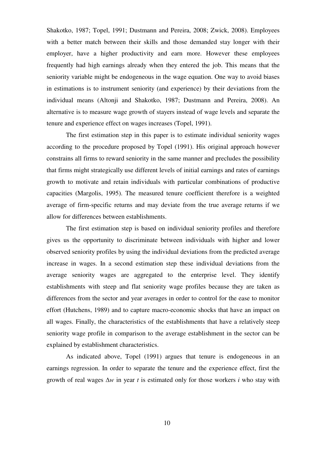Shakotko, 1987; Topel, 1991; Dustmann and Pereira, 2008; Zwick, 2008). Employees with a better match between their skills and those demanded stay longer with their employer, have a higher productivity and earn more. However these employees frequently had high earnings already when they entered the job. This means that the seniority variable might be endogeneous in the wage equation. One way to avoid biases in estimations is to instrument seniority (and experience) by their deviations from the individual means (Altonji and Shakotko, 1987; Dustmann and Pereira, 2008). An alternative is to measure wage growth of stayers instead of wage levels and separate the tenure and experience effect on wages increases (Topel, 1991).

The first estimation step in this paper is to estimate individual seniority wages according to the procedure proposed by Topel (1991). His original approach however constrains all firms to reward seniority in the same manner and precludes the possibility that firms might strategically use different levels of initial earnings and rates of earnings growth to motivate and retain individuals with particular combinations of productive capacities (Margolis, 1995). The measured tenure coefficient therefore is a weighted average of firm-specific returns and may deviate from the true average returns if we allow for differences between establishments.

The first estimation step is based on individual seniority profiles and therefore gives us the opportunity to discriminate between individuals with higher and lower observed seniority profiles by using the individual deviations from the predicted average increase in wages. In a second estimation step these individual deviations from the average seniority wages are aggregated to the enterprise level. They identify establishments with steep and flat seniority wage profiles because they are taken as differences from the sector and year averages in order to control for the ease to monitor effort (Hutchens, 1989) and to capture macro-economic shocks that have an impact on all wages. Finally, the characteristics of the establishments that have a relatively steep seniority wage profile in comparison to the average establishment in the sector can be explained by establishment characteristics.

 As indicated above, Topel (1991) argues that tenure is endogeneous in an earnings regression. In order to separate the tenure and the experience effect, first the growth of real wages ∆*w* in year *t* is estimated only for those workers *i* who stay with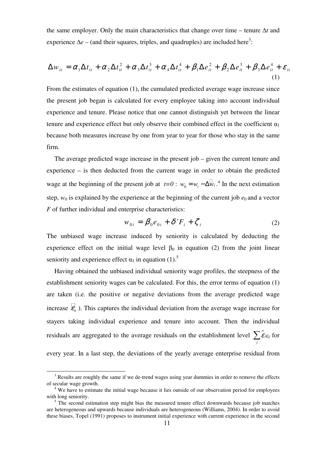the same employer. Only the main characteristics that change over time – tenure ∆*t* and experience  $\Delta e$  – (and their squares, triples, and quadruples) are included here<sup>3</sup>:

$$
\Delta w_{it} = \alpha_1 \Delta t_{it} + \alpha_2 \Delta t_{it}^2 + \alpha_3 \Delta t_{it}^3 + \alpha_4 \Delta t_{it}^4 + \beta_1 \Delta e_{it}^2 + \beta_2 \Delta e_{it}^3 + \beta_3 \Delta e_{it}^4 + \varepsilon_{it}
$$
\n(1)

From the estimates of equation (1), the cumulated predicted average wage increase since the present job began is calculated for every employee taking into account individual experience and tenure. Please notice that one cannot distinguish yet between the linear tenure and experience effect but only observe their combined effect in the coefficient  $\alpha_1$ because both measures increase by one from year to year for those who stay in the same firm.

The average predicted wage increase in the present job – given the current tenure and experience – is then deducted from the current wage in order to obtain the predicted wage at the beginning of the present job at  $t=0$ :  $w_0 = w_i - \Delta w_i$ .<sup>4</sup> In the next estimation step,  $w_0$  is explained by the experience at the beginning of the current job  $e_0$  and a vector *F* of further individual and enterprise characteristics:

$$
w_{0i} = \beta_0 e_{0i} + \delta' F_i + \zeta_i
$$
 (2)

The unbiased wage increase induced by seniority is calculated by deducting the experience effect on the initial wage level  $\beta_0$  in equation (2) from the joint linear seniority and experience effect  $\alpha_1$  in equation (1).<sup>5</sup>

Having obtained the unbiased individual seniority wage profiles, the steepness of the establishment seniority wages can be calculated. For this, the error terms of equation (1) are taken (i.e. the positive or negative deviations from the average predicted wage increase  $\varepsilon$ <sub>*it*</sub>). This captures the individual deviation from the average wage increase for stayers taking individual experience and tenure into account. Then the individual residuals are aggregated to the average residuals on the establishment level  $\sum \hat{\varepsilon}_{i \in j}$  for *j* every year. In a last step, the deviations of the yearly average enterprise residual from

l

 $3$  Results are roughly the same if we de-trend wages using year dummies in order to remove the effects of secular wage growth.

<sup>&</sup>lt;sup>4</sup> We have to estimate the initial wage because it lies outside of our observation period for employees with long seniority.

<sup>&</sup>lt;sup>5</sup> The second estimation step might bias the measured tenure effect downwards because job matches are heterogeneous and upwards because individuals are heterogeneous (Williams, 2004). In order to avoid these biases, Topel (1991) proposes to instrument initial experience with current experience in the second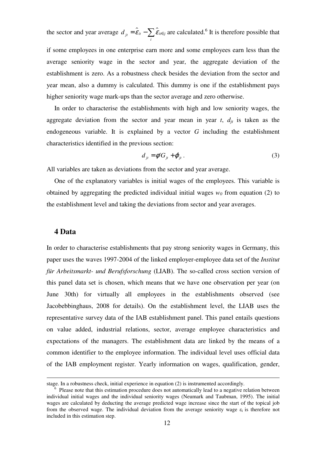the sector and year average  $d_{it} = \hat{\epsilon}_{it} - \sum \hat{\epsilon}_{it \in j}$  $d_{ji} = \hat{\mathcal{E}}_{it} - \sum_{i} \hat{\mathcal{E}}_{i\in j}$  are calculated.<sup>6</sup> It is therefore possible that

if some employees in one enterprise earn more and some employees earn less than the average seniority wage in the sector and year, the aggregate deviation of the establishment is zero. As a robustness check besides the deviation from the sector and year mean, also a dummy is calculated. This dummy is one if the establishment pays higher seniority wage mark-ups than the sector average and zero otherwise.

In order to characterise the establishments with high and low seniority wages, the aggregate deviation from the sector and year mean in year  $t$ ,  $d_{it}$  is taken as the endogeneous variable. It is explained by a vector *G* including the establishment characteristics identified in the previous section:

$$
d_{jt} = \phi' G_{jt} + \varphi_{jt} \,. \tag{3}
$$

All variables are taken as deviations from the sector and year average.

One of the explanatory variables is initial wages of the employees. This variable is obtained by aggregating the predicted individual initial wages  $w<sub>0</sub>$  from equation (2) to the establishment level and taking the deviations from sector and year averages.

#### **4 Data**

-

In order to characterise establishments that pay strong seniority wages in Germany, this paper uses the waves 1997-2004 of the linked employer-employee data set of the *Institut für Arbeitsmarkt- und Berufsforschung* (LIAB). The so-called cross section version of this panel data set is chosen, which means that we have one observation per year (on June 30th) for virtually all employees in the establishments observed (see Jacobebbinghaus, 2008 for details). On the establishment level, the LIAB uses the representative survey data of the IAB establishment panel. This panel entails questions on value added, industrial relations, sector, average employee characteristics and expectations of the managers. The establishment data are linked by the means of a common identifier to the employee information. The individual level uses official data of the IAB employment register. Yearly information on wages, qualification, gender,

stage. In a robustness check, initial experience in equation (2) is instrumented accordingly.

<sup>6</sup> Please note that this estimation procedure does not automatically lead to a negative relation between individual initial wages and the individual seniority wages (Neumark and Taubman, 1995). The initial wages are calculated by deducting the average predicted wage increase since the start of the topical job from the observed wage. The individual deviation from the average seniority wage  $\varepsilon_i$  is therefore not included in this estimation step.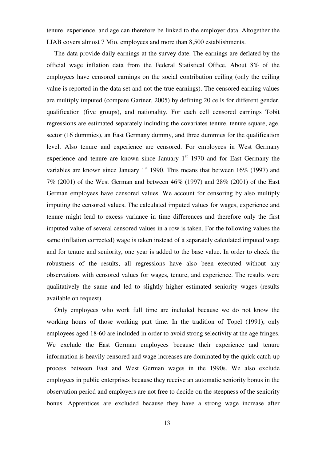tenure, experience, and age can therefore be linked to the employer data. Altogether the LIAB covers almost 7 Mio. employees and more than 8,500 establishments.

The data provide daily earnings at the survey date. The earnings are deflated by the official wage inflation data from the Federal Statistical Office. About 8% of the employees have censored earnings on the social contribution ceiling (only the ceiling value is reported in the data set and not the true earnings). The censored earning values are multiply imputed (compare Gartner, 2005) by defining 20 cells for different gender, qualification (five groups), and nationality. For each cell censored earnings Tobit regressions are estimated separately including the covariates tenure, tenure square, age, sector (16 dummies), an East Germany dummy, and three dummies for the qualification level. Also tenure and experience are censored. For employees in West Germany experience and tenure are known since January  $1<sup>st</sup>$  1970 and for East Germany the variables are known since January  $1<sup>st</sup>$  1990. This means that between 16% (1997) and 7% (2001) of the West German and between 46% (1997) and 28% (2001) of the East German employees have censored values. We account for censoring by also multiply imputing the censored values. The calculated imputed values for wages, experience and tenure might lead to excess variance in time differences and therefore only the first imputed value of several censored values in a row is taken. For the following values the same (inflation corrected) wage is taken instead of a separately calculated imputed wage and for tenure and seniority, one year is added to the base value. In order to check the robustness of the results, all regressions have also been executed without any observations with censored values for wages, tenure, and experience. The results were qualitatively the same and led to slightly higher estimated seniority wages (results available on request).

Only employees who work full time are included because we do not know the working hours of those working part time. In the tradition of Topel (1991), only employees aged 18-60 are included in order to avoid strong selectivity at the age fringes. We exclude the East German employees because their experience and tenure information is heavily censored and wage increases are dominated by the quick catch-up process between East and West German wages in the 1990s. We also exclude employees in public enterprises because they receive an automatic seniority bonus in the observation period and employers are not free to decide on the steepness of the seniority bonus. Apprentices are excluded because they have a strong wage increase after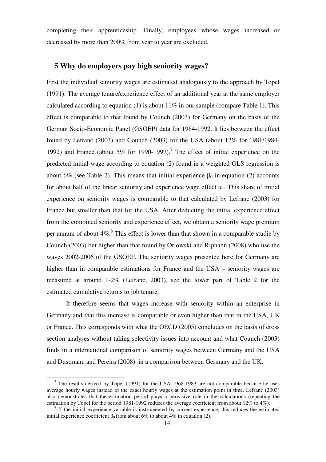completing their apprenticeship. Finally, employees whose wages increased or decreased by more than 200% from year to year are excluded.

#### **5 Why do employers pay high seniority wages?**

First the individual seniority wages are estimated analogously to the approach by Topel (1991). The average tenure/experience effect of an additional year at the same employer calculated according to equation (1) is about  $11\%$  in our sample (compare Table 1). This effect is comparable to that found by Counch (2003) for Germany on the basis of the German Socio-Economic Panel (GSOEP) data for 1984-1992. It lies between the effect found by Lefranc (2003) and Counch (2003) for the USA (about 12% for 1981/1984- 1992) and France (about 5% for 1990-1997).<sup>7</sup> The effect of initial experience on the predicted initial wage according to equation (2) found in a weighted OLS regression is about 6% (see Table 2). This means that initial experience  $\beta_0$  in equation (2) accounts for about half of the linear seniority and experience wage effect  $\alpha_1$ . This share of initial experience on seniority wages is comparable to that calculated by Lefranc (2003) for France but smaller than that for the USA. After deducting the initial experience effect from the combined seniority and experience effect, we obtain a seniority wage premium per annum of about  $4\%$ .<sup>8</sup> This effect is lower than that shown in a comparable studie by Counch (2003) but higher than that found by Orlowski and Riphahn (2008) who use the waves 2002-2006 of the GSOEP. The seniority wages presented here for Germany are higher than in comparable estimations for France and the USA – seniority wages are measured at around 1-2% (Lefranc, 2003), see the lower part of Table 2 for the estimated cumulative returns to job tenure.

 It therefore seems that wages increase with seniority within an enterprise in Germany and that this increase is comparable or even higher than that in the USA, UK or France. This corresponds with what the OECD (2005) concludes on the basis of cross section analyses without taking selectivity issues into account and what Counch (2003) finds in a international comparison of seniority wages between Germany and the USA and Dustmann and Pereira (2008) in a comparison between Germany and the UK.

-

 $<sup>7</sup>$  The results derived by Topel (1991) for the USA 1968-1983 are not comparable because he uses</sup> average hourly wages instead of the exact hourly wages at the estimation point in time. Lefranc (2003) also demonstrates that the estimation period plays a pervasive role in the calculations (repeating the estimation by Topel for the period 1981-1992 reduces the average coefficient from about 12% to 4%).

<sup>&</sup>lt;sup>8</sup> If the initial experience variable is instrumented by current experience, this reduces the estimated initial experience coefficient  $β_0$  from about 6% to about 4% in equation (2).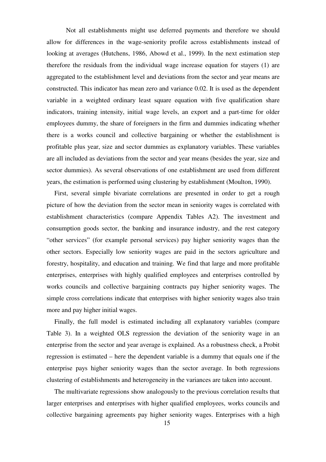Not all establishments might use deferred payments and therefore we should allow for differences in the wage-seniority profile across establishments instead of looking at averages (Hutchens, 1986, Abowd et al., 1999). In the next estimation step therefore the residuals from the individual wage increase equation for stayers (1) are aggregated to the establishment level and deviations from the sector and year means are constructed. This indicator has mean zero and variance 0.02. It is used as the dependent variable in a weighted ordinary least square equation with five qualification share indicators, training intensity, initial wage levels, an export and a part-time for older employees dummy, the share of foreigners in the firm and dummies indicating whether there is a works council and collective bargaining or whether the establishment is profitable plus year, size and sector dummies as explanatory variables. These variables are all included as deviations from the sector and year means (besides the year, size and sector dummies). As several observations of one establishment are used from different years, the estimation is performed using clustering by establishment (Moulton, 1990).

First, several simple bivariate correlations are presented in order to get a rough picture of how the deviation from the sector mean in seniority wages is correlated with establishment characteristics (compare Appendix Tables A2). The investment and consumption goods sector, the banking and insurance industry, and the rest category "other services" (for example personal services) pay higher seniority wages than the other sectors. Especially low seniority wages are paid in the sectors agriculture and forestry, hospitality, and education and training. We find that large and more profitable enterprises, enterprises with highly qualified employees and enterprises controlled by works councils and collective bargaining contracts pay higher seniority wages. The simple cross correlations indicate that enterprises with higher seniority wages also train more and pay higher initial wages.

Finally, the full model is estimated including all explanatory variables (compare Table 3). In a weighted OLS regression the deviation of the seniority wage in an enterprise from the sector and year average is explained. As a robustness check, a Probit regression is estimated – here the dependent variable is a dummy that equals one if the enterprise pays higher seniority wages than the sector average. In both regressions clustering of establishments and heterogeneity in the variances are taken into account.

The multivariate regressions show analogously to the previous correlation results that larger enterprises and enterprises with higher qualified employees, works councils and collective bargaining agreements pay higher seniority wages. Enterprises with a high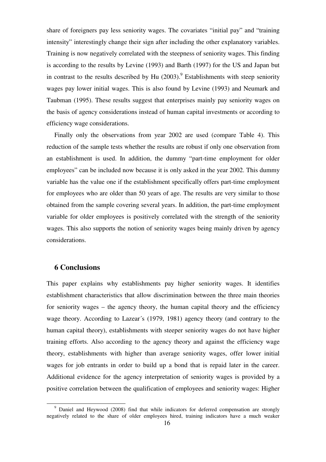share of foreigners pay less seniority wages. The covariates "initial pay" and "training intensity" interestingly change their sign after including the other explanatory variables. Training is now negatively correlated with the steepness of seniority wages. This finding is according to the results by Levine (1993) and Barth (1997) for the US and Japan but in contrast to the results described by Hu  $(2003)$ .<sup>9</sup> Establishments with steep seniority wages pay lower initial wages. This is also found by Levine (1993) and Neumark and Taubman (1995). These results suggest that enterprises mainly pay seniority wages on the basis of agency considerations instead of human capital investments or according to efficiency wage considerations.

Finally only the observations from year 2002 are used (compare Table 4). This reduction of the sample tests whether the results are robust if only one observation from an establishment is used. In addition, the dummy "part-time employment for older employees" can be included now because it is only asked in the year 2002. This dummy variable has the value one if the establishment specifically offers part-time employment for employees who are older than 50 years of age. The results are very similar to those obtained from the sample covering several years. In addition, the part-time employment variable for older employees is positively correlated with the strength of the seniority wages. This also supports the notion of seniority wages being mainly driven by agency considerations.

#### **6 Conclusions**

l

This paper explains why establishments pay higher seniority wages. It identifies establishment characteristics that allow discrimination between the three main theories for seniority wages – the agency theory, the human capital theory and the efficiency wage theory. According to Lazear´s (1979, 1981) agency theory (and contrary to the human capital theory), establishments with steeper seniority wages do not have higher training efforts. Also according to the agency theory and against the efficiency wage theory, establishments with higher than average seniority wages, offer lower initial wages for job entrants in order to build up a bond that is repaid later in the career. Additional evidence for the agency interpretation of seniority wages is provided by a positive correlation between the qualification of employees and seniority wages: Higher

<sup>&</sup>lt;sup>9</sup> Daniel and Heywood (2008) find that while indicators for deferred compensation are strongly negatively related to the share of older employees hired, training indicators have a much weaker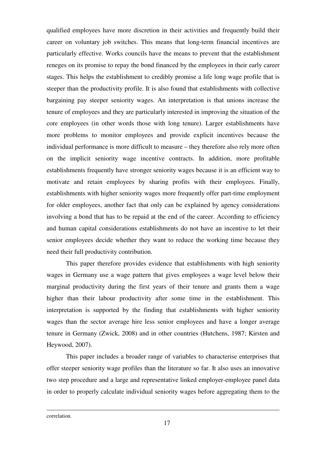qualified employees have more discretion in their activities and frequently build their career on voluntary job switches. This means that long-term financial incentives are particularly effective. Works councils have the means to prevent that the establishment reneges on its promise to repay the bond financed by the employees in their early career stages. This helps the establishment to credibly promise a life long wage profile that is steeper than the productivity profile. It is also found that establishments with collective bargaining pay steeper seniority wages. An interpretation is that unions increase the tenure of employees and they are particularly interested in improving the situation of the core employees (in other words those with long tenure). Larger establishments have more problems to monitor employees and provide explicit incentives because the individual performance is more difficult to measure – they therefore also rely more often on the implicit seniority wage incentive contracts. In addition, more profitable establishments frequently have stronger seniority wages because it is an efficient way to motivate and retain employees by sharing profits with their employees. Finally, establishments with higher seniority wages more frequently offer part-time employment for older employees, another fact that only can be explained by agency considerations involving a bond that has to be repaid at the end of the career. According to efficiency and human capital considerations establishments do not have an incentive to let their senior employees decide whether they want to reduce the working time because they need their full productivity contribution.

This paper therefore provides evidence that establishments with high seniority wages in Germany use a wage pattern that gives employees a wage level below their marginal productivity during the first years of their tenure and grants them a wage higher than their labour productivity after some time in the establishment. This interpretation is supported by the finding that establishments with higher seniority wages than the sector average hire less senior employees and have a longer average tenure in Germany (Zwick, 2008) and in other countries (Hutchens, 1987; Kirsten and Heywood, 2007).

This paper includes a broader range of variables to characterise enterprises that offer steeper seniority wage profiles than the literature so far. It also uses an innovative two step procedure and a large and representative linked employer-employee panel data in order to properly calculate individual seniority wages before aggregating them to the

correlation.

-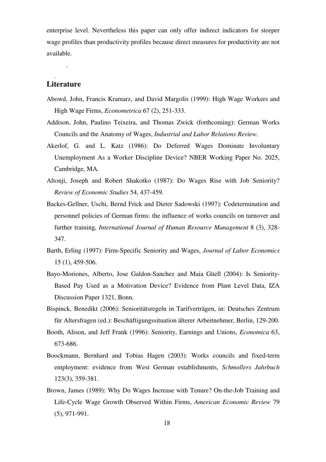enterprise level. Nevertheless this paper can only offer indirect indicators for steeper wage profiles than productivity profiles because direct measures for productivity are not available.

#### **Literature**

.

.

- Abowd, John, Francis Kramarz, and David Margolis (1999): High Wage Workers and High Wage Firms, *Econometrica* 67 (2), 251-333.
- Addison, John, Paulino Teixeira, and Thomas Zwick (forthcoming): German Works Councils and the Anatomy of Wages, *Industrial and Labor Relations Review*.
- Akerlof, G. and L. Katz (1986): Do Deferred Wages Dominate Involuntary Unemployment As a Worker Discipline Device? NBER Working Paper No. 2025, Cambridge, MA.
- Altonji, Joseph and Robert Shakotko (1987): Do Wages Rise with Job Seniority? *Review of Economic Studies* 54, 437-459.
- Backes-Gellner, Uschi, Bernd Frick and Dieter Sadowski (1997): Codetermination and personnel policies of German firms: the influence of works councils on turnover and further training, *International Journal of Human Resource Management* 8 (3), 328- 347.
- Barth, Erling (1997): Firm-Specific Seniority and Wages, *Journal of Labor Economics* 15 (1), 459-506.
- Bayo-Moriones, Alberto, Jose Galdon-Sanchez and Maia Güell (2004): Is Seniority-Based Pay Used as a Motivation Device? Evidence from Plant Level Data, IZA Discussion Paper 1321, Bonn.
- Bispinck, Benedikt (2006): Senioritätsregeln in Tarifverträgen, in: Deutsches Zentrum für Altersfragen (ed.): Beschäftigungssituation älterer Arbeitnehmer, Berlin, 129-200.
- Booth, Alison, and Jeff Frank (1996): Seniority, Earnings and Unions, *Economica* 63, 673-686.
- Boockmann, Bernhard and Tobias Hagen (2003): Works councils and fixed-term employment: evidence from West German establishments, *Schmollers Jahrbuch* 123(3), 359-381.
- Brown, James (1989): Why Do Wages Increase with Tenure? On-the-Job Training and Life-Cycle Wage Growth Observed Within Firms, *American Economic Review* 79 (5), 971-991.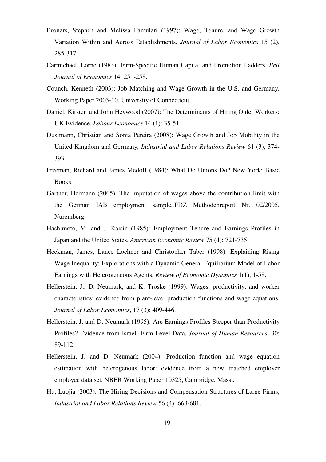- Bronars, Stephen and Melissa Famulari (1997): Wage, Tenure, and Wage Growth Variation Within and Across Establishments, *Journal of Labor Economics* 15 (2), 285-317.
- Carmichael, Lorne (1983): Firm-Specific Human Capital and Promotion Ladders, *Bell Journal of Economics* 14: 251-258.
- Counch, Kenneth (2003): Job Matching and Wage Growth in the U.S. and Germany, Working Paper 2003-10, University of Connecticut.
- Daniel, Kirsten und John Heywood (2007): The Determinants of Hiring Older Workers: UK Evidence, *Labour Economics* 14 (1): 35-51.
- Dustmann, Christian and Sonia Pereira (2008): Wage Growth and Job Mobility in the United Kingdom and Germany, *Industrial and Labor Relations Review* 61 (3), 374- 393.
- Freeman, Richard and James Medoff (1984): What Do Unions Do? New York: Basic Books.
- Gartner, Hermann (2005): The imputation of wages above the contribution limit with the German IAB employment sample, FDZ Methodenreport Nr. 02/2005, Nuremberg.
- Hashimoto, M. and J. Raisin (1985): Employment Tenure and Earnings Profiles in Japan and the United States, *American Economic Review* 75 (4): 721-735.
- Heckman, James, Lance Lochner and Christopher Taber (1998): Explaining Rising Wage Inequality: Explorations with a Dynamic General Equilibrium Model of Labor Earnings with Heterogeneous Agents, *Review of Economic Dynamics* 1(1), 1-58.
- Hellerstein, J., D. Neumark, and K. Troske (1999): Wages, productivity, and worker characteristics: evidence from plant-level production functions and wage equations, *Journal of Labor Economics*, 17 (3): 409-446.
- Hellerstein, J. and D. Neumark (1995): Are Earnings Profiles Steeper than Productivity Profiles? Evidence from Israeli Firm-Level Data, *Journal of Human Resources*, 30: 89-112.
- Hellerstein, J. and D. Neumark (2004): Production function and wage equation estimation with heterogenous labor: evidence from a new matched employer employee data set, NBER Working Paper 10325, Cambridge, Mass..
- Hu, Luojia (2003): The Hiring Decisions and Compensation Structures of Large Firms, *Industrial and Labor Relations Review* 56 (4): 663-681.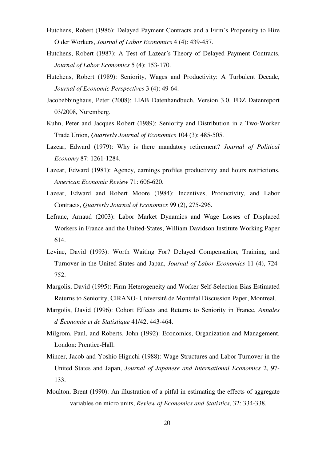- Hutchens, Robert (1986): Delayed Payment Contracts and a Firm´s Propensity to Hire Older Workers, *Journal of Labor Economics* 4 (4): 439-457.
- Hutchens, Robert (1987): A Test of Lazear´s Theory of Delayed Payment Contracts, *Journal of Labor Economics* 5 (4): 153-170.
- Hutchens, Robert (1989): Seniority, Wages and Productivity: A Turbulent Decade, *Journal of Economic Perspectives* 3 (4): 49-64.
- Jacobebbinghaus, Peter (2008): LIAB Datenhandbuch, Version 3.0, FDZ Datenreport 03/2008, Nuremberg.
- Kuhn, Peter and Jacques Robert (1989): Seniority and Distribution in a Two-Worker Trade Union, *Quarterly Journal of Economics* 104 (3): 485-505.
- Lazear, Edward (1979): Why is there mandatory retirement? *Journal of Political Economy* 87: 1261-1284.
- Lazear, Edward (1981): Agency, earnings profiles productivity and hours restrictions, *American Economic Review* 71: 606-620.
- Lazear, Edward and Robert Moore (1984): Incentives, Productivity, and Labor Contracts, *Quarterly Journal of Economics* 99 (2), 275-296.
- Lefranc, Arnaud (2003): Labor Market Dynamics and Wage Losses of Displaced Workers in France and the United-States, William Davidson Institute Working Paper 614.
- Levine, David (1993): Worth Waiting For? Delayed Compensation, Training, and Turnover in the United States and Japan, *Journal of Labor Economics* 11 (4), 724- 752.
- Margolis, David (1995): Firm Heterogeneity and Worker Self-Selection Bias Estimated Returns to Seniority, CIRANO- Université de Montréal Discussion Paper, Montreal.
- Margolis, David (1996): Cohort Effects and Returns to Seniority in France, *Annales d´Économie et de Statistique* 41/42, 443-464.
- Milgrom, Paul, and Roberts, John (1992): Economics, Organization and Management, London: Prentice-Hall.
- Mincer, Jacob and Yoshio Higuchi (1988): Wage Structures and Labor Turnover in the United States and Japan, *Journal of Japanese and International Economics* 2, 97- 133.
- Moulton, Brent (1990): An illustration of a pitfal in estimating the effects of aggregate variables on micro units, *Review of Economics and Statistics*, 32: 334-338.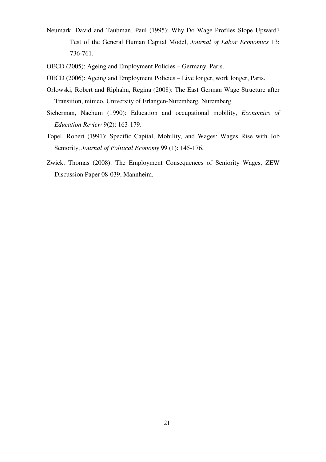- Neumark, David and Taubman, Paul (1995): Why Do Wage Profiles Slope Upward? Test of the General Human Capital Model, *Journal of Labor Economics* 13: 736-761.
- OECD (2005): Ageing and Employment Policies Germany, Paris.
- OECD (2006): Ageing and Employment Policies Live longer, work longer, Paris.
- Orlowski, Robert and Riphahn, Regina (2008): The East German Wage Structure after Transition, mimeo, University of Erlangen-Nuremberg, Nuremberg.
- Sicherman, Nachum (1990): Education and occupational mobility, *Economics of Education Review* 9(2): 163-179.
- Topel, Robert (1991): Specific Capital, Mobility, and Wages: Wages Rise with Job Seniority, *Journal of Political Economy* 99 (1): 145-176.
- Zwick, Thomas (2008): The Employment Consequences of Seniority Wages, ZEW Discussion Paper 08-039, Mannheim.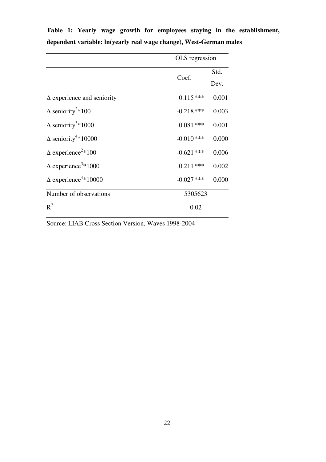|                                         | OLS regression |       |
|-----------------------------------------|----------------|-------|
|                                         | Coef.          | Std.  |
|                                         |                | Dev.  |
| $\Delta$ experience and seniority       | $0.115***$     | 0.001 |
| $\Delta$ seniority <sup>2</sup> *100    | $-0.218$ ***   | 0.003 |
| $\Delta$ seniority <sup>3</sup> *1000   | $0.081***$     | 0.001 |
| $\Delta$ seniority <sup>4</sup> *10000  | $-0.010$ ***   | 0.000 |
| $\Delta$ experience <sup>2</sup> *100   | $-0.621$ ***   | 0.006 |
| $\Delta$ experience <sup>3</sup> *1000  | $0.211***$     | 0.002 |
| $\Delta$ experience <sup>4</sup> *10000 | $-0.027$ ***   | 0.000 |
| Number of observations                  | 5305623        |       |
| $R^2$                                   | 0.02           |       |

**Table 1: Yearly wage growth for employees staying in the establishment, dependent variable: ln(yearly real wage change), West-German males** 

Source: LIAB Cross Section Version, Waves 1998-2004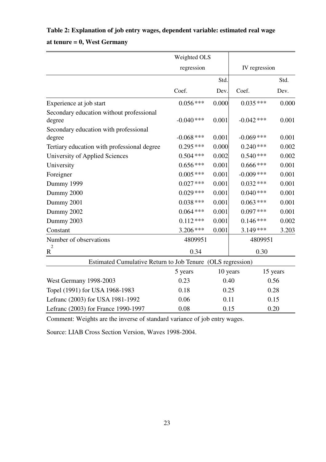# **Table 2: Explanation of job entry wages, dependent variable: estimated real wage**

**at tenure = 0, West Germany** 

|                                                            | Weighted OLS |          |               |          |
|------------------------------------------------------------|--------------|----------|---------------|----------|
|                                                            | regression   |          | IV regression |          |
|                                                            |              | Std.     |               | Std.     |
|                                                            | Coef.        | Dev.     | Coef.         | Dev.     |
| Experience at job start                                    | $0.056***$   | 0.000    | $0.035***$    | 0.000    |
| Secondary education without professional<br>degree         | $-0.040$ *** | 0.001    | $-0.042$ ***  | 0.001    |
| Secondary education with professional                      | $-0.068$ *** | 0.001    | $-0.069$ ***  | 0.001    |
| degree                                                     | $0.295***$   | 0.000    | $0.240***$    | 0.002    |
| Tertiary education with professional degree                |              | 0.002    |               |          |
| University of Applied Sciences                             | $0.504$ ***  |          | $0.540***$    | 0.002    |
| University                                                 | $0.656***$   | 0.001    | $0.666$ ***   | 0.001    |
| Foreigner                                                  | $0.005$ ***  | 0.001    | $-0.009$ ***  | 0.001    |
| Dummy 1999                                                 | $0.027$ ***  | 0.001    | $0.032$ ***   | 0.001    |
| Dummy 2000                                                 | $0.029***$   | 0.001    | $0.040$ ***   | 0.001    |
| Dummy 2001                                                 | $0.038***$   | 0.001    | $0.063$ ***   | 0.001    |
| Dummy 2002                                                 | $0.064$ ***  | 0.001    | $0.097$ ***   | 0.001    |
| Dummy 2003                                                 | $0.112***$   | 0.001    | $0.146***$    | 0.002    |
| Constant                                                   | 3.206 ***    | 0.001    | $3.149***$    | 3.203    |
| Number of observations                                     | 4809951      |          | 4809951       |          |
| $\boldsymbol{2}$<br>$\mathbf R$                            | 0.34         |          | 0.30          |          |
| Estimated Cumulative Return to Job Tenure (OLS regression) |              |          |               |          |
|                                                            | 5 years      | 10 years |               | 15 years |
| <b>West Germany 1998-2003</b>                              | 0.23         | 0.40     |               | 0.56     |
| Topel (1991) for USA 1968-1983                             | 0.18         | 0.25     |               | 0.28     |
| Lefranc (2003) for USA 1981-1992                           | 0.06         | 0.11     |               | 0.15     |
| Lefranc (2003) for France 1990-1997                        | 0.08         |          | 0.20<br>0.15  |          |

Comment: Weights are the inverse of standard variance of job entry wages.

Source: LIAB Cross Section Version, Waves 1998-2004.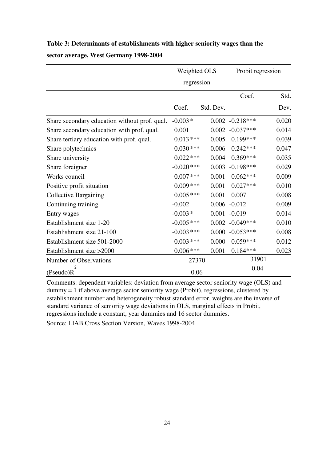## **Table 3: Determinants of establishments with higher seniority wages than the sector average, West Germany 1998-2004**

|                                               | Weighted OLS |           | Probit regression |       |
|-----------------------------------------------|--------------|-----------|-------------------|-------|
|                                               | regression   |           |                   |       |
|                                               |              |           | Coef.             | Std.  |
|                                               | Coef.        | Std. Dev. |                   | Dev.  |
| Share secondary education without prof. qual. | $-0.003*$    |           | $0.002 -0.218***$ | 0.020 |
| Share secondary education with prof. qual.    | 0.001        | 0.002     | $-0.037***$       | 0.014 |
| Share tertiary education with prof. qual.     | $0.013***$   | 0.005     | $0.199***$        | 0.039 |
| Share polytechnics                            | $0.030***$   | 0.006     | $0.242***$        | 0.047 |
| Share university                              | $0.022$ ***  | 0.004     | $0.369***$        | 0.035 |
| Share foreigner                               | $-0.020$ *** | 0.003     | $-0.198***$       | 0.029 |
| Works council                                 | $0.007$ ***  | 0.001     | $0.062***$        | 0.009 |
| Positive profit situation                     | $0.009$ ***  | 0.001     | $0.027***$        | 0.010 |
| <b>Collective Bargaining</b>                  | $0.005$ ***  | 0.001     | 0.007             | 0.008 |
| Continuing training                           | $-0.002$     |           | $0.006 - 0.012$   | 0.009 |
| Entry wages                                   | $-0.003*$    | 0.001     | $-0.019$          | 0.014 |
| Establishment size 1-20                       | $-0.005$ *** | 0.002     | $-0.049***$       | 0.010 |
| Establishment size 21-100                     | $-0.003$ *** | 0.000     | $-0.053***$       | 0.008 |
| Establishment size 501-2000                   | $0.003$ ***  | 0.000     | $0.059***$        | 0.012 |
| Establishment size >2000                      | $0.006$ ***  | 0.001     | $0.184***$        | 0.023 |
| Number of Observations                        | 27370        |           | 31901             |       |
| 2<br>(Pseudo)R                                | 0.06         |           | 0.04              |       |

Comments: dependent variables: deviation from average sector seniority wage (OLS) and dummy = 1 if above average sector seniority wage (Probit), regressions, clustered by establishment number and heterogeneity robust standard error, weights are the inverse of standard variance of seniority wage deviations in OLS, marginal effects in Probit, regressions include a constant, year dummies and 16 sector dummies.

Source: LIAB Cross Section Version, Waves 1998-2004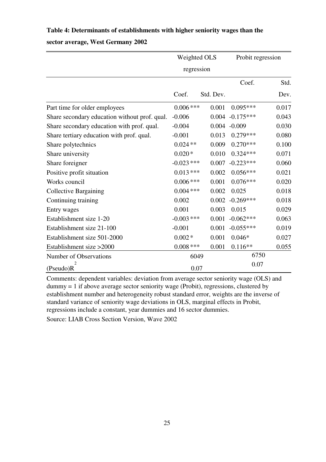#### **Table 4: Determinants of establishments with higher seniority wages than the**

#### **sector average, West Germany 2002**

|                                               | Weighted OLS |           | Probit regression  |       |
|-----------------------------------------------|--------------|-----------|--------------------|-------|
|                                               | regression   |           |                    |       |
|                                               |              |           | Coef.              | Std.  |
|                                               | Coef.        | Std. Dev. |                    | Dev.  |
| Part time for older employees                 | $0.006$ ***  | 0.001     | $0.095***$         | 0.017 |
| Share secondary education without prof. qual. | $-0.006$     |           | $0.004 - 0.175***$ | 0.043 |
| Share secondary education with prof. qual.    | $-0.004$     |           | $0.004 - 0.009$    | 0.030 |
| Share tertiary education with prof. qual.     | $-0.001$     | 0.013     | $0.279***$         | 0.080 |
| Share polytechnics                            | $0.024**$    | 0.009     | $0.270***$         | 0.100 |
| Share university                              | $0.020*$     | 0.010     | $0.324***$         | 0.071 |
| Share foreigner                               | $-0.023$ *** | 0.007     | $-0.223***$        | 0.060 |
| Positive profit situation                     | $0.013***$   | 0.002     | $0.056***$         | 0.021 |
| Works council                                 | $0.006$ ***  | 0.001     | $0.076***$         | 0.020 |
| <b>Collective Bargaining</b>                  | $0.004$ ***  | 0.002     | 0.025              | 0.018 |
| Continuing training                           | 0.002        | 0.002     | $-0.269***$        | 0.018 |
| Entry wages                                   | 0.001        | 0.003     | 0.015              | 0.029 |
| Establishment size 1-20                       | $-0.003$ *** | 0.001     | $-0.062***$        | 0.063 |
| Establishment size 21-100                     | $-0.001$     | 0.001     | $-0.055***$        | 0.019 |
| Establishment size 501-2000                   | $0.002*$     | 0.001     | $0.046*$           | 0.027 |
| Establishment size >2000                      | $0.008$ ***  | 0.001     | $0.116**$          | 0.055 |
| <b>Number of Observations</b>                 | 6049         |           | 6750               |       |
| (Pseudo)R                                     | 0.07         |           | 0.07               |       |

Comments: dependent variables: deviation from average sector seniority wage (OLS) and  $d$ ummy = 1 if above average sector seniority wage (Probit), regressions, clustered by establishment number and heterogeneity robust standard error, weights are the inverse of standard variance of seniority wage deviations in OLS, marginal effects in Probit, regressions include a constant, year dummies and 16 sector dummies.

Source: LIAB Cross Section Version, Wave 2002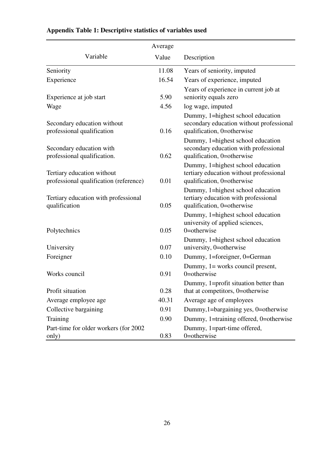|                                                                      | Average |                                                                                                             |
|----------------------------------------------------------------------|---------|-------------------------------------------------------------------------------------------------------------|
| Variable                                                             | Value   | Description                                                                                                 |
| Seniority                                                            | 11.08   | Years of seniority, imputed                                                                                 |
| Experience                                                           | 16.54   | Years of experience, imputed                                                                                |
| Experience at job start                                              | 5.90    | Years of experience in current job at<br>seniority equals zero                                              |
| Wage                                                                 | 4.56    | log wage, imputed                                                                                           |
| Secondary education without<br>professional qualification            | 0.16    | Dummy, 1=highest school education<br>secondary education without professional<br>qualification, 0=otherwise |
| Secondary education with<br>professional qualification.              | 0.62    | Dummy, 1=highest school education<br>secondary education with professional<br>qualification, 0=otherwise    |
| Tertiary education without<br>professional qualification (reference) | 0.01    | Dummy, 1=highest school education<br>tertiary education without professional<br>qualification, 0=otherwise  |
| Tertiary education with professional<br>qualification                | 0.05    | Dummy, 1=highest school education<br>tertiary education with professional<br>qualification, 0=otherwise     |
| Polytechnics                                                         | 0.05    | Dummy, 1=highest school education<br>university of applied sciences,<br>$0$ =otherwise                      |
| University                                                           | 0.07    | Dummy, 1=highest school education<br>university, 0=otherwise                                                |
| Foreigner                                                            | 0.10    | Dummy, 1=foreigner, 0=German                                                                                |
| Works council                                                        | 0.91    | Dummy, 1= works council present,<br>$0$ =otherwise                                                          |
| Profit situation                                                     | 0.28    | Dummy, 1=profit situation better than<br>that at competitors, 0=otherwise                                   |
| Average employee age                                                 | 40.31   | Average age of employees                                                                                    |
| Collective bargaining                                                | 0.91    | Dummy, 1=bargaining yes, 0=otherwise                                                                        |
| Training                                                             | 0.90    | Dummy, 1=training offered, 0=otherwise                                                                      |
| Part-time for older workers (for 2002)<br>only)                      | 0.83    | Dummy, 1=part-time offered,<br>0=otherwise                                                                  |

## **Appendix Table 1: Descriptive statistics of variables used**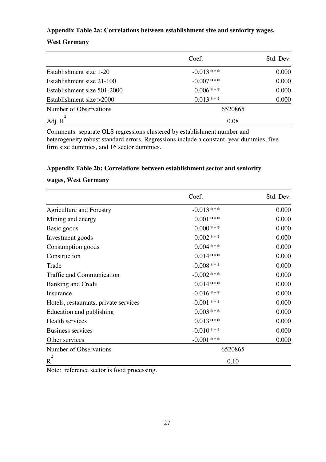#### **Appendix Table 2a: Correlations between establishment size and seniority wages,**

#### **West Germany**

|                             | Coef.        | Std. Dev. |  |
|-----------------------------|--------------|-----------|--|
| Establishment size 1-20     | $-0.013$ *** | 0.000     |  |
| Establishment size 21-100   | $-0.007$ *** | 0.000     |  |
| Establishment size 501-2000 | $0.006$ ***  | 0.000     |  |
| Establishment size $>2000$  | $0.013***$   | 0.000     |  |
| Number of Observations      | 6520865      |           |  |
| Adj. R                      | 0.08         |           |  |

Comments: separate OLS regressions clustered by establishment number and heterogeneity robust standard errors. Regressions include a constant, year dummies, five firm size dummies, and 16 sector dummies.

#### **Appendix Table 2b: Correlations between establishment sector and seniority**

#### **wages, West Germany**

|                                       | Coef.        | Std. Dev. |  |
|---------------------------------------|--------------|-----------|--|
| <b>Agriculture and Forestry</b>       | $-0.013$ *** | 0.000     |  |
| Mining and energy                     | $0.001$ ***  | 0.000     |  |
| Basic goods                           | $0.000$ ***  | 0.000     |  |
| Investment goods                      | $0.002$ ***  | 0.000     |  |
| Consumption goods                     | $0.004$ ***  | 0.000     |  |
| Construction                          | $0.014***$   | 0.000     |  |
| Trade                                 | $-0.008$ *** | 0.000     |  |
| <b>Traffic and Communication</b>      | $-0.002$ *** | 0.000     |  |
| <b>Banking and Credit</b>             | $0.014***$   | 0.000     |  |
| Insurance                             | $-0.016$ *** | 0.000     |  |
| Hotels, restaurants, private services | $-0.001$ *** | 0.000     |  |
| Education and publishing              | $0.003$ ***  | 0.000     |  |
| Health services                       | $0.013***$   | 0.000     |  |
| <b>Business services</b>              | $-0.010***$  | 0.000     |  |
| Other services                        | $-0.001$ *** | 0.000     |  |
| Number of Observations                | 6520865      |           |  |
| 2<br>$\mathbf R$                      | 0.10         |           |  |

Note: reference sector is food processing.